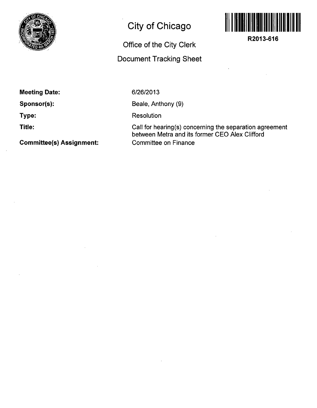

## **City of Chicago**

## **Office of the City Clerk**

## **Document Tracking Sheet**



**R2013-616** 

**Meeting Date:** 

**Sponsor(s):** 

**Type:** 

**Title:** 

**Committee(s) Assignment:** 

**6/26/2013** 

Beale, Anthony (9)

**Resolution** 

Call for hearing(s) concerning the separation agreement between Metre and its former CEO Alex Clifford Committee on Finance